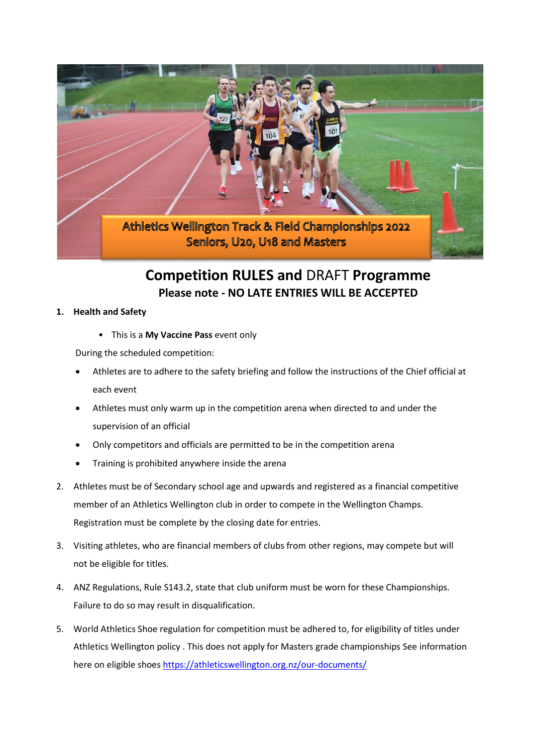

## **Competition RULES and** DRAFT **Programme Please note - NO LATE ENTRIES WILL BE ACCEPTED**

#### **1. Health and Safety**

• This is a **My Vaccine Pass** event only

During the scheduled competition:

- Athletes are to adhere to the safety briefing and follow the instructions of the Chief official at each event
- Athletes must only warm up in the competition arena when directed to and under the supervision of an official
- Only competitors and officials are permitted to be in the competition arena
- Training is prohibited anywhere inside the arena
- 2. Athletes must be of Secondary school age and upwards and registered as a financial competitive member of an Athletics Wellington club in order to compete in the Wellington Champs. Registration must be complete by the closing date for entries.
- 3. Visiting athletes, who are financial members of clubs from other regions, may compete but will not be eligible for titles.
- 4. ANZ Regulations, Rule S143.2, state that club uniform must be worn for these Championships. Failure to do so may result in disqualification.
- 5. World Athletics Shoe regulation for competition must be adhered to, for eligibility of titles under Athletics Wellington policy . This does not apply for Masters grade championships See information here on eligible shoes<https://athleticswellington.org.nz/our-documents/>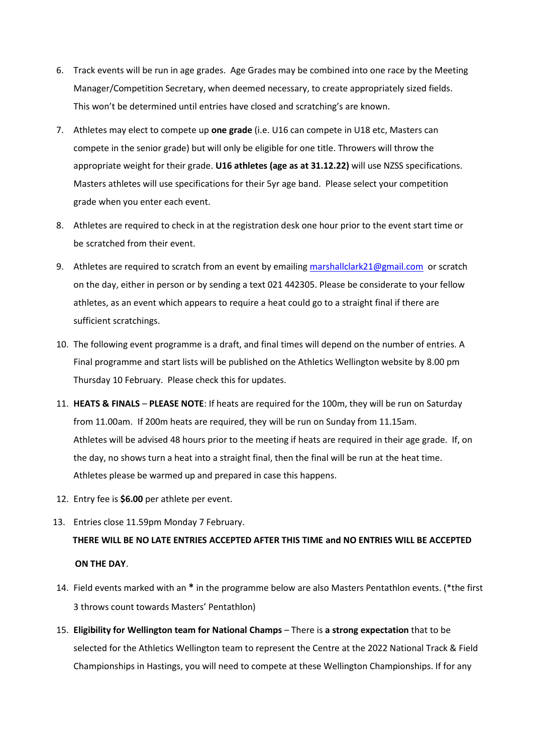- 6. Track events will be run in age grades. Age Grades may be combined into one race by the Meeting Manager/Competition Secretary, when deemed necessary, to create appropriately sized fields. This won't be determined until entries have closed and scratching's are known.
- 7. Athletes may elect to compete up **one grade** (i.e. U16 can compete in U18 etc, Masters can compete in the senior grade) but will only be eligible for one title. Throwers will throw the appropriate weight for their grade. **U16 athletes (age as at 31.12.22)** will use NZSS specifications. Masters athletes will use specifications for their 5yr age band. Please select your competition grade when you enter each event.
- 8. Athletes are required to check in at the registration desk one hour prior to the event start time or be scratched from their event.
- 9. Athletes are required to scratch from an event by emailing [marshallclark21@gmail.com](mailto:marshallclark21@gmail.com) or scratch on the day, either in person or by sending a text 021 442305. Please be considerate to your fellow athletes, as an event which appears to require a heat could go to a straight final if there are sufficient scratchings.
- 10. The following event programme is a draft, and final times will depend on the number of entries. A Final programme and start lists will be published on the Athletics Wellington website by 8.00 pm Thursday 10 February. Please check this for updates.
- 11. **HEATS & FINALS PLEASE NOTE**: If heats are required for the 100m, they will be run on Saturday from 11.00am. If 200m heats are required, they will be run on Sunday from 11.15am. Athletes will be advised 48 hours prior to the meeting if heats are required in their age grade. If, on the day, no shows turn a heat into a straight final, then the final will be run at the heat time. Athletes please be warmed up and prepared in case this happens.
- 12. Entry fee is **\$6.00** per athlete per event.
- 13. Entries close 11.59pm Monday 7 February.

# **THERE WILL BE NO LATE ENTRIES ACCEPTED AFTER THIS TIME and NO ENTRIES WILL BE ACCEPTED ON THE DAY**.

- 14. Field events marked with an **\*** in the programme below are also Masters Pentathlon events. (\*the first 3 throws count towards Masters' Pentathlon)
- 15. **Eligibility for Wellington team for National Champs** There is **a strong expectation** that to be selected for the Athletics Wellington team to represent the Centre at the 2022 National Track & Field Championships in Hastings, you will need to compete at these Wellington Championships. If for any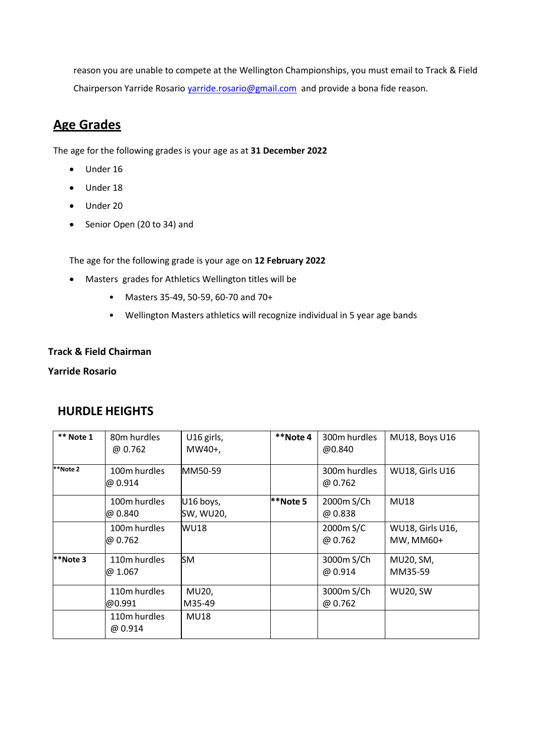reason you are unable to compete at the Wellington Championships, you must email to Track & Field Chairperson Yarride Rosario varride.rosario@gmail.com and provide a bona fide reason.

## **Age Grades**

The age for the following grades is your age as at **31 December 2022**

- Under 16
- Under 18
- Under 20
- Senior Open (20 to 34) and

The age for the following grade is your age on **12 February 2022**

- Masters grades for Athletics Wellington titles will be
	- Masters 35-49, 50-59, 60-70 and 70+
	- Wellington Masters athletics will recognize individual in 5 year age bands

#### **Track & Field Chairman**

#### **Yarride Rosario**

## **HURDLE HEIGHTS**

| ** Note 1 | 80 <sub>m</sub> hurdles<br>@ 0.762 | U16 girls,<br>MW40+,   | **Note 4 | 300m hurdles<br>@0.840       | MU18, Boys U16                       |
|-----------|------------------------------------|------------------------|----------|------------------------------|--------------------------------------|
| **Note 2  | 100m hurdles<br>@ 0.914            | MM50-59                |          | 300m hurdles<br>@ 0.762      | WU18, Girls U16                      |
|           | 100m hurdles<br>@ 0.840            | U16 boys,<br>SW, WU20, | **Note 5 | 2000m S/Ch<br>@ 0.838        | <b>MU18</b>                          |
|           | 100m hurdles<br>@ 0.762            | <b>WU18</b>            |          | 2000m S/C<br>@ 0.762         | <b>WU18, Girls U16,</b><br>MW, MM60+ |
| **Note 3  | 110m hurdles<br>@1.067             | <b>SM</b>              |          | 3000m S/Ch<br>$\omega$ 0.914 | MU20, SM,<br>MM35-59                 |
|           | 110m hurdles<br>@0.991             | MU20,<br>M35-49        |          | 3000m S/Ch<br>@ 0.762        | <b>WU20, SW</b>                      |
|           | 110m hurdles<br>@ 0.914            | <b>MU18</b>            |          |                              |                                      |